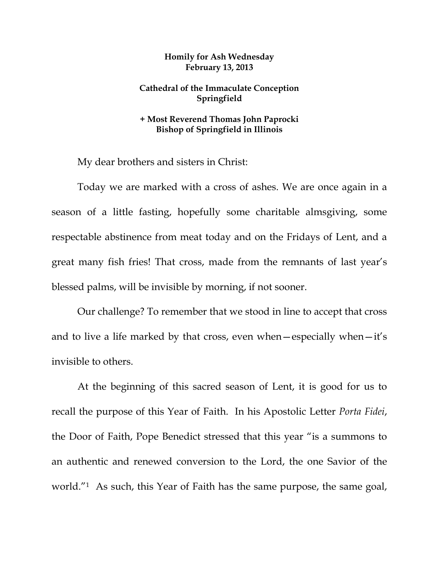## **Homily for Ash Wednesday February 13, 2013**

## **Cathedral of the Immaculate Conception Springfield**

## **+ Most Reverend Thomas John Paprocki Bishop of Springfield in Illinois**

My dear brothers and sisters in Christ:

 Today we are marked with a cross of ashes. We are once again in a season of a little fasting, hopefully some charitable almsgiving, some respectable abstinence from meat today and on the Fridays of Lent, and a great many fish fries! That cross, made from the remnants of last year's blessed palms, will be invisible by morning, if not sooner.

 Our challenge? To remember that we stood in line to accept that cross and to live a life marked by that cross, even when—especially when—it's invisible to others.

At the beginning of this sacred season of Lent, it is good for us to recall the purpose of this Year of Faith. In his Apostolic Letter *Porta Fidei*, the Door of Faith, Pope Benedict stressed that this year "is a summons to an authentic and renewed conversion to the Lord, the one Savior of the world."1 As such, this Year of Faith has the same purpose, the same goal,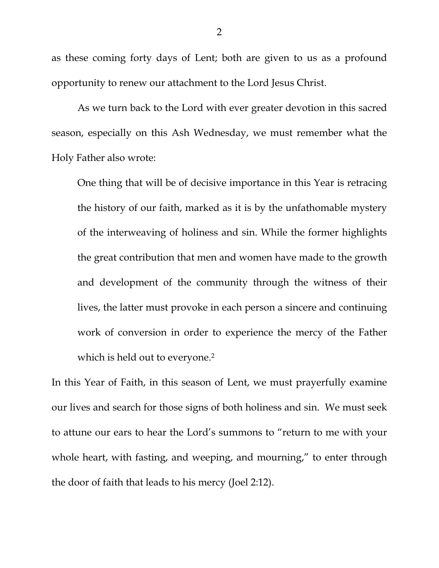as these coming forty days of Lent; both are given to us as a profound opportunity to renew our attachment to the Lord Jesus Christ.

 As we turn back to the Lord with ever greater devotion in this sacred season, especially on this Ash Wednesday, we must remember what the Holy Father also wrote:

One thing that will be of decisive importance in this Year is retracing the history of our faith, marked as it is by the unfathomable mystery of the interweaving of holiness and sin. While the former highlights the great contribution that men and women have made to the growth and development of the community through the witness of their lives, the latter must provoke in each person a sincere and continuing work of conversion in order to experience the mercy of the Father which is held out to everyone.<sup>2</sup>

In this Year of Faith, in this season of Lent, we must prayerfully examine our lives and search for those signs of both holiness and sin. We must seek to attune our ears to hear the Lord's summons to "return to me with your whole heart, with fasting, and weeping, and mourning," to enter through the door of faith that leads to his mercy (Joel 2:12).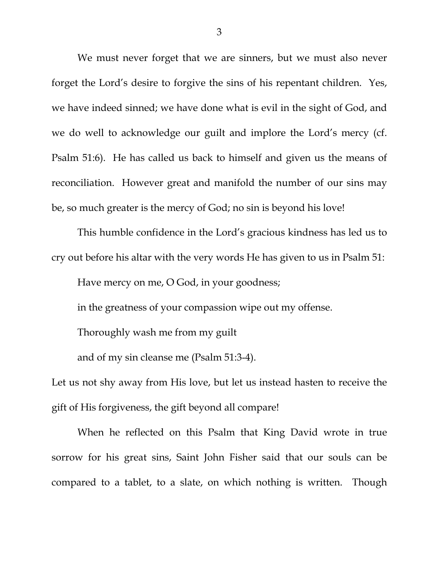We must never forget that we are sinners, but we must also never forget the Lord's desire to forgive the sins of his repentant children. Yes, we have indeed sinned; we have done what is evil in the sight of God, and we do well to acknowledge our guilt and implore the Lord's mercy (cf. Psalm 51:6). He has called us back to himself and given us the means of reconciliation. However great and manifold the number of our sins may be, so much greater is the mercy of God; no sin is beyond his love!

 This humble confidence in the Lord's gracious kindness has led us to cry out before his altar with the very words He has given to us in Psalm 51:

Have mercy on me, O God, in your goodness;

in the greatness of your compassion wipe out my offense.

Thoroughly wash me from my guilt

and of my sin cleanse me (Psalm 51:3-4).

Let us not shy away from His love, but let us instead hasten to receive the gift of His forgiveness, the gift beyond all compare!

 When he reflected on this Psalm that King David wrote in true sorrow for his great sins, Saint John Fisher said that our souls can be compared to a tablet, to a slate, on which nothing is written. Though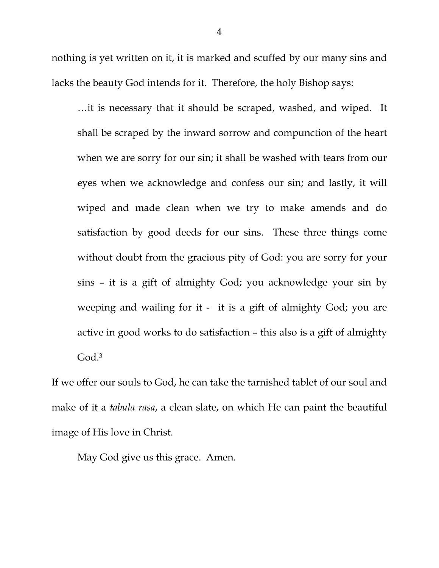nothing is yet written on it, it is marked and scuffed by our many sins and lacks the beauty God intends for it. Therefore, the holy Bishop says:

…it is necessary that it should be scraped, washed, and wiped. It shall be scraped by the inward sorrow and compunction of the heart when we are sorry for our sin; it shall be washed with tears from our eyes when we acknowledge and confess our sin; and lastly, it will wiped and made clean when we try to make amends and do satisfaction by good deeds for our sins. These three things come without doubt from the gracious pity of God: you are sorry for your sins – it is a gift of almighty God; you acknowledge your sin by weeping and wailing for it - it is a gift of almighty God; you are active in good works to do satisfaction – this also is a gift of almighty God.3

If we offer our souls to God, he can take the tarnished tablet of our soul and make of it a *tabula rasa*, a clean slate, on which He can paint the beautiful image of His love in Christ.

May God give us this grace. Amen.